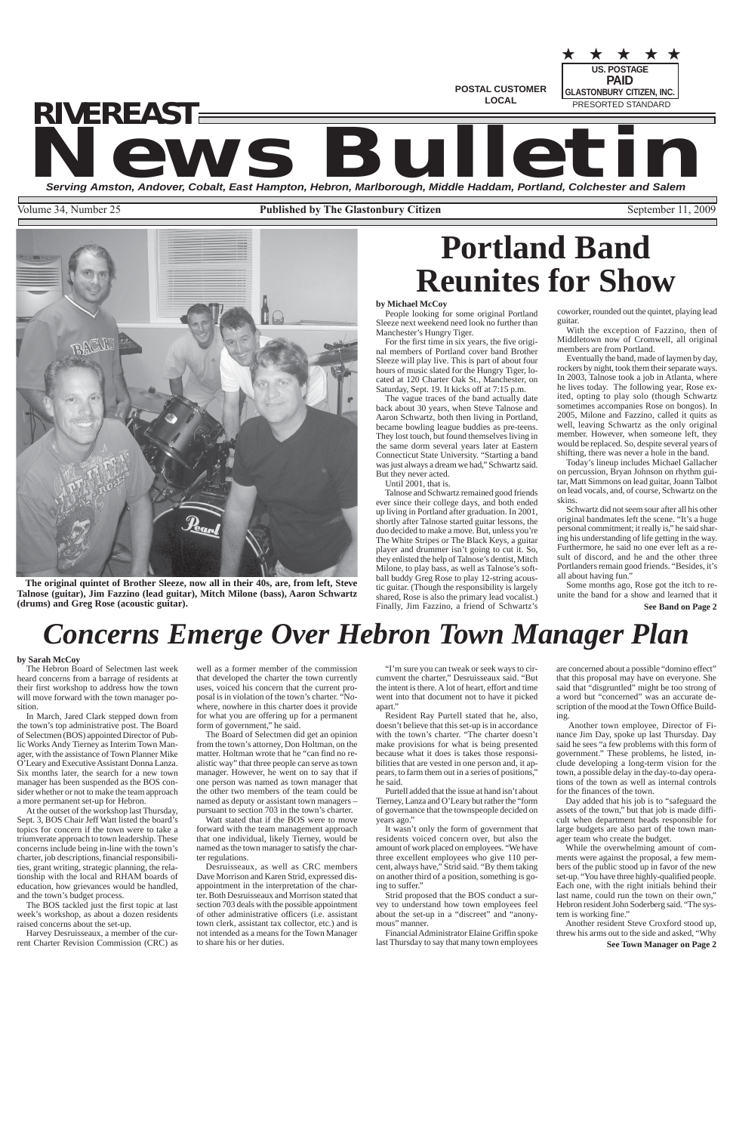★ ★ ★ ★ ★



**POSTAL CUSTOMER LOCAL**

**US. POSTAGE** PRESORTED STANDARD **PAID GLASTONBURY CITIZEN, INC.**

# **News Bulletin Serving Amston, Andover, Cobalt, East Hampton, Hebron, Marlborough, Middle Haddam, Portland, Colchester and Salem** *RIVEREAST*

Volume 34, Number 25 **Published by The Glastonbury Citizen** September 11, 2009

**See Town Manager on Page 2**

# *Concerns Emerge Over Hebron Town Manager Plan*

#### **by Sarah McCoy**

The Hebron Board of Selectmen last week heard concerns from a barrage of residents at their first workshop to address how the town will move forward with the town manager position.

In March, Jared Clark stepped down from the town's top administrative post. The Board of Selectmen (BOS) appointed Director of Public Works Andy Tierney as Interim Town Manager, with the assistance of Town Planner Mike O'Leary and Executive Assistant Donna Lanza. Six months later, the search for a new town manager has been suspended as the BOS consider whether or not to make the team approach a more permanent set-up for Hebron.

At the outset of the workshop last Thursday, Sept. 3, BOS Chair Jeff Watt listed the board's topics for concern if the town were to take a triumverate approach to town leadership. These concerns include being in-line with the town's charter, job descriptions, financial responsibilities, grant writing, strategic planning, the relationship with the local and RHAM boards of education, how grievances would be handled, and the town's budget process.

"I'm sure you can tweak or seek ways to circumvent the charter," Desruisseaux said. "But the intent is there. A lot of heart, effort and time went into that document not to have it picked apart.'

The BOS tackled just the first topic at last week's workshop, as about a dozen residents raised concerns about the set-up.

Harvey Desruisseaux, a member of the current Charter Revision Commission (CRC) as

well as a former member of the commission that developed the charter the town currently uses, voiced his concern that the current proposal is in violation of the town's charter. "Nowhere, nowhere in this charter does it provide for what you are offering up for a permanent form of government," he said.

The Board of Selectmen did get an opinion from the town's attorney, Don Holtman, on the matter. Holtman wrote that he "can find no realistic way" that three people can serve as town manager. However, he went on to say that if one person was named as town manager that the other two members of the team could be named as deputy or assistant town managers – pursuant to section 703 in the town's charter.

Watt stated that if the BOS were to move forward with the team management approach that one individual, likely Tierney, would be named as the town manager to satisfy the charter regulations. Desruisseaux, as well as CRC members Dave Morrison and Karen Strid, expressed disappointment in the interpretation of the charter. Both Desruisseaux and Morrison stated that section 703 deals with the possible appointment of other administrative officers (i.e. assistant town clerk, assistant tax collector, etc.) and is not intended as a means for the Town Manager to share his or her duties.

Resident Ray Purtell stated that he, also, doesn't believe that this set-up is in accordance with the town's charter. "The charter doesn't make provisions for what is being presented because what it does is takes those responsibilities that are vested in one person and, it appears, to farm them out in a series of positions," he said.

Purtell added that the issue at hand isn't about Tierney, Lanza and O'Leary but rather the "form of governance that the townspeople decided on years ago."

It wasn't only the form of government that residents voiced concern over, but also the amount of work placed on employees. "We have three excellent employees who give 110 percent, always have," Strid said. "By them taking on another third of a position, something is going to suffer." Strid proposed that the BOS conduct a survey to understand how town employees feel about the set-up in a "discreet" and "anonymous" manner.

Financial Administrator Elaine Griffin spoke last Thursday to say that many town employees

**See Band on Page 2** Some months ago, Rose got the itch to reunite the band for a show and learned that it

are concerned about a possible "domino effect" that this proposal may have on everyone. She said that "disgruntled" might be too strong of a word but "concerned" was an accurate description of the mood at the Town Office Building.

 Another town employee, Director of Finance Jim Day, spoke up last Thursday. Day said he sees "a few problems with this form of government." These problems, he listed, include developing a long-term vision for the town, a possible delay in the day-to-day operations of the town as well as internal controls for the finances of the town.

Day added that his job is to "safeguard the assets of the town," but that job is made difficult when department heads responsible for large budgets are also part of the town man-

ager team who create the budget.

While the overwhelming amount of comments were against the proposal, a few members of the public stood up in favor of the new set-up. "You have three highly-qualified people. Each one, with the right initials behind their last name, could run the town on their own," Hebron resident John Soderberg said. "The system is working fine."

Another resident Steve Croxford stood up, threw his arms out to the side and asked, "Why

# **Portland Band Reunites for Show**

#### **by Michael McCoy**

People looking for some original Portland Sleeze next weekend need look no further than Manchester's Hungry Tiger.

For the first time in six years, the five original members of Portland cover band Brother Sleeze will play live. This is part of about four hours of music slated for the Hungry Tiger, located at 120 Charter Oak St., Manchester, on Saturday, Sept. 19. It kicks off at 7:15 p.m.

The vague traces of the band actually date back about 30 years, when Steve Talnose and Aaron Schwartz, both then living in Portland, became bowling league buddies as pre-teens. They lost touch, but found themselves living in the same dorm several years later at Eastern Connecticut State University. "Starting a band was just always a dream we had," Schwartz said. But they never acted.

Until 2001, that is.

Talnose and Schwartz remained good friends ever since their college days, and both ended up living in Portland after graduation. In 2001, shortly after Talnose started guitar lessons, the duo decided to make a move. But, unless you're The White Stripes or The Black Keys, a guitar player and drummer isn't going to cut it. So, they enlisted the help of Talnose's dentist, Mitch Milone, to play bass, as well as Talnose's softball buddy Greg Rose to play 12-string acous-

tic guitar. (Though the responsibility is largely shared, Rose is also the primary lead vocalist.) Finally, Jim Fazzino, a friend of Schwartz's coworker, rounded out the quintet, playing lead guitar.

With the exception of Fazzino, then of Middletown now of Cromwell, all original members are from Portland.

Eventually the band, made of laymen by day, rockers by night, took them their separate ways. In 2003, Talnose took a job in Atlanta, where he lives today. The following year, Rose exited, opting to play solo (though Schwartz sometimes accompanies Rose on bongos). In 2005, Milone and Fazzino, called it quits as well, leaving Schwartz as the only original member. However, when someone left, they would be replaced. So, despite several years of shifting, there was never a hole in the band.

Today's lineup includes Michael Gallacher on percussion, Bryan Johnson on rhythm guitar, Matt Simmons on lead guitar, Joann Talbot on lead vocals, and, of course, Schwartz on the skins.

Schwartz did not seem sour after all his other original bandmates left the scene. "It's a huge personal commitment; it really is," he said sharing his understanding of life getting in the way. Furthermore, he said no one ever left as a result of discord, and he and the other three Portlanders remain good friends. "Besides, it's all about having fun."

**The original quintet of Brother Sleeze, now all in their 40s, are, from left, Steve Talnose (guitar), Jim Fazzino (lead guitar), Mitch Milone (bass), Aaron Schwartz (drums) and Greg Rose (acoustic guitar).**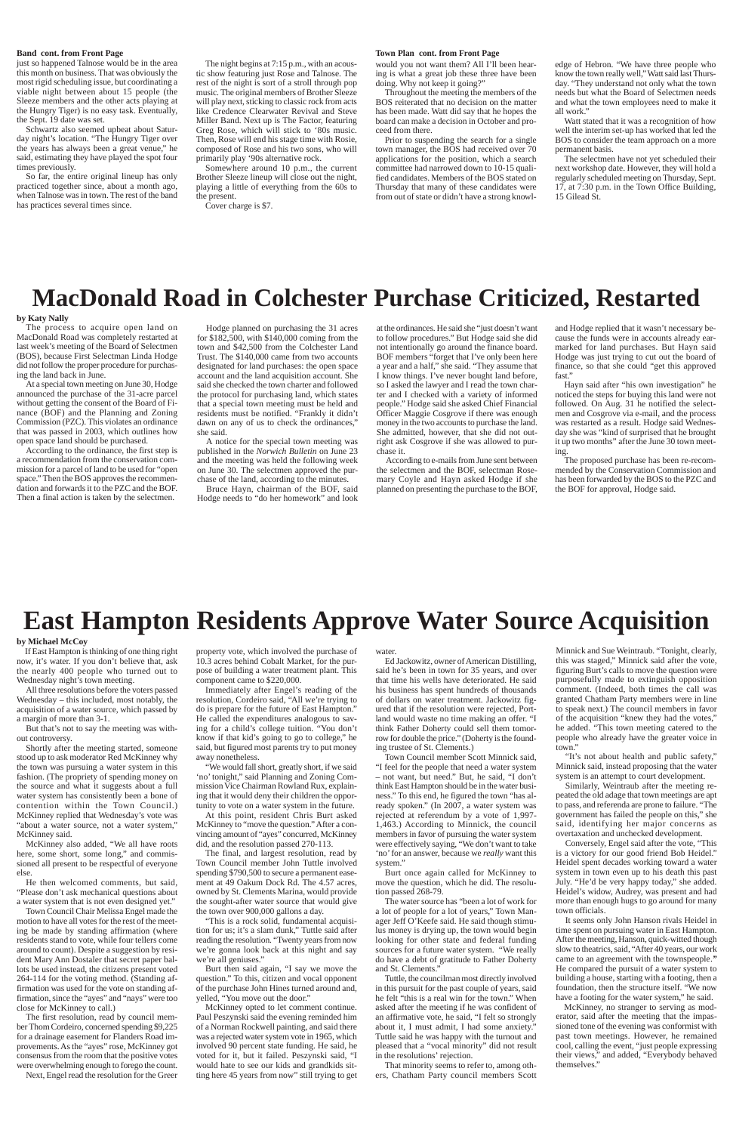#### **Band cont. from Front Page Town Plan cont. from Front Page**

would you not want them? All I'll been hearing is what a great job these three have been doing. Why not keep it going?"

Throughout the meeting the members of the BOS reiterated that no decision on the matter has been made. Watt did say that he hopes the board can make a decision in October and proceed from there.

Prior to suspending the search for a single town manager, the BOS had received over 70 applications for the position, which a search committee had narrowed down to 10-15 qualified candidates. Members of the BOS stated on Thursday that many of these candidates were from out of state or didn't have a strong knowl-

just so happened Talnose would be in the area this month on business. That was obviously the most rigid scheduling issue, but coordinating a viable night between about 15 people (the Sleeze members and the other acts playing at the Hungry Tiger) is no easy task. Eventually, the Sept. 19 date was set.

Schwartz also seemed upbeat about Saturday night's location. "The Hungry Tiger over the years has always been a great venue," he said, estimating they have played the spot four times previously.

So far, the entire original lineup has only practiced together since, about a month ago, when Talnose was in town. The rest of the band has practices several times since.

The night begins at 7:15 p.m., with an acoustic show featuring just Rose and Talnose. The rest of the night is sort of a stroll through pop music. The original members of Brother Sleeze will play next, sticking to classic rock from acts like Credence Clearwater Revival and Steve Miller Band. Next up is The Factor, featuring Greg Rose, which will stick to '80s music. Then, Rose will end his stage time with Rosie, composed of Rose and his two sons, who will primarily play '90s alternative rock.

Somewhere around 10 p.m., the current Brother Sleeze lineup will close out the night, playing a little of everything from the 60s to the present.

Cover charge is \$7.

edge of Hebron. "We have three people who know the town really well," Watt said last Thursday. "They understand not only what the town needs but what the Board of Selectmen needs and what the town employees need to make it all work."

Watt stated that it was a recognition of how well the interim set-up has worked that led the BOS to consider the team approach on a more permanent basis.

The selectmen have not yet scheduled their next workshop date. However, they will hold a regularly scheduled meeting on Thursday, Sept. 17, at 7:30 p.m. in the Town Office Building, 15 Gilead St.

# **East Hampton Residents Approve Water Source Acquisition**

#### **by Michael McCoy**

If East Hampton is thinking of one thing right now, it's water. If you don't believe that, ask the nearly 400 people who turned out to Wednesday night's town meeting.

All three resolutions before the voters passed Wednesday – this included, most notably, the acquisition of a water source, which passed by a margin of more than 3-1.

But that's not to say the meeting was without controversy.

Shortly after the meeting started, someone stood up to ask moderator Red McKinney why the town was pursuing a water system in this fashion. (The propriety of spending money on the source and what it suggests about a full water system has consistently been a bone of contention within the Town Council.) McKinney replied that Wednesday's vote was "about a water source, not a water system,"

McKinney said.

McKinney also added, "We all have roots here, some short, some long," and commissioned all present to be respectful of everyone else.

He then welcomed comments, but said, "Please don't ask mechanical questions about a water system that is not even designed yet."

Town Council Chair Melissa Engel made the motion to have all votes for the rest of the meeting be made by standing affirmation (where residents stand to vote, while four tellers come around to count). Despite a suggestion by resident Mary Ann Dostaler that secret paper ballots be used instead, the citizens present voted 264-114 for the voting method. (Standing affirmation was used for the vote on standing affirmation, since the "ayes" and "nays" were too close for McKinney to call.)

The first resolution, read by council member Thom Cordeiro, concerned spending \$9,225 for a drainage easement for Flanders Road improvements. As the "ayes" rose, McKinney got consensus from the room that the positive votes were overwhelming enough to forego the count.

Next, Engel read the resolution for the Greer

#### water.

Ed Jackowitz, owner of American Distilling, said he's been in town for 35 years, and over that time his wells have deteriorated. He said his business has spent hundreds of thousands of dollars on water treatment. Jackowitz figured that if the resolution were rejected, Portland would waste no time making an offer. "I think Father Doherty could sell them tomorrow for double the price." (Doherty is the founding trustee of St. Clements.)

Town Council member Scott Minnick said, "I feel for the people that need a water system – not want, but need." But, he said, "I don't think East Hampton should be in the water business." To this end, he figured the town "has already spoken." (In 2007, a water system was rejected at referendum by a vote of 1,997- 1,463.) According to Minnick, the council

members in favor of pursuing the water system were effectively saying, "We don't want to take 'no' for an answer, because we *really* want this system."

Burt once again called for McKinney to move the question, which he did. The resolution passed 268-79.

The water source has "been a lot of work for a lot of people for a lot of years," Town Manager Jeff O'Keefe said. He said though stimulus money is drying up, the town would begin looking for other state and federal funding sources for a future water system. "We really do have a debt of gratitude to Father Doherty and St. Clements."

Tuttle, the councilman most directly involved in this pursuit for the past couple of years, said he felt "this is a real win for the town." When asked after the meeting if he was confident of an affirmative vote, he said, "I felt so strongly about it, I must admit, I had some anxiety.' Tuttle said he was happy with the turnout and pleased that a "vocal minority" did not result in the resolutions' rejection.

That minority seems to refer to, among others, Chatham Party council members Scott

property vote, which involved the purchase of 10.3 acres behind Cobalt Market, for the purpose of building a water treatment plant. This component came to \$220,000.

Immediately after Engel's reading of the resolution, Cordeiro said, "All we're trying to do is prepare for the future of East Hampton." He called the expenditures analogous to saving for a child's college tuition. "You don't know if that kid's going to go to college," he said, but figured most parents try to put money away nonetheless.

"We would fall short, greatly short, if we said 'no' tonight," said Planning and Zoning Commission Vice Chairman Rowland Rux, explaining that it would deny their children the opportunity to vote on a water system in the future.

At this point, resident Chris Burt asked McKinney to "move the question." After a convincing amount of "ayes" concurred, McKinney did, and the resolution passed 270-113.

The final, and largest resolution, read by Town Council member John Tuttle involved spending \$790,500 to secure a permanent easement at 49 Oakum Dock Rd. The 4.57 acres, owned by St. Clements Marina, would provide the sought-after water source that would give the town over 900,000 gallons a day.

"This is a rock solid, fundamental acquisition for us; it's a slam dunk," Tuttle said after reading the resolution. "Twenty years from now we're gonna look back at this night and say we're all geniuses."

Burt then said again, "I say we move the question." To this, citizen and vocal opponent of the purchase John Hines turned around and, yelled, "You move out the door."

McKinney opted to let comment continue. Paul Peszynski said the evening reminded him of a Norman Rockwell painting, and said there was a rejected water system vote in 1965, which involved 90 percent state funding. He said, he voted for it, but it failed. Peszynski said, "I would hate to see our kids and grandkids sitting here 45 years from now" still trying to get

Minnick and Sue Weintraub. "Tonight, clearly, this was staged," Minnick said after the vote, figuring Burt's calls to move the question were purposefully made to extinguish opposition comment. (Indeed, both times the call was granted Chatham Party members were in line to speak next.) The council members in favor of the acquisition "knew they had the votes," he added. "This town meeting catered to the people who already have the greater voice in town."

"It's not about health and public safety," Minnick said, instead proposing that the water system is an attempt to court development.

Similarly, Weintraub after the meeting repeated the old adage that town meetings are apt to pass, and referenda are prone to failure. "The government has failed the people on this," she said, identifying her major concerns as overtaxation and unchecked development. Conversely, Engel said after the vote, "This is a victory for our good friend Bob Heidel." Heidel spent decades working toward a water system in town even up to his death this past July. "He'd be very happy today," she added. Heidel's widow, Audrey, was present and had more than enough hugs to go around for many town officials. It seems only John Hanson rivals Heidel in time spent on pursuing water in East Hampton. After the meeting, Hanson, quick-witted though slow to theatrics, said, "After 40 years, our work came to an agreement with the townspeople.*"* He compared the pursuit of a water system to building a house, starting with a footing, then a foundation, then the structure itself. "We now have a footing for the water system," he said. McKinney, no stranger to serving as moderator, said after the meeting that the impassioned tone of the evening was conformist with past town meetings. However, he remained cool, calling the event, "just people expressing their views," and added, "Everybody behaved themselves."

### **MacDonald Road in Colchester Purchase Criticized, Restarted**

#### **by Katy Nally**

The process to acquire open land on MacDonald Road was completely restarted at last week's meeting of the Board of Selectmen (BOS), because First Selectman Linda Hodge did not follow the proper procedure for purchasing the land back in June.

At a special town meeting on June 30, Hodge announced the purchase of the 31-acre parcel without getting the consent of the Board of Finance (BOF) and the Planning and Zoning Commission (PZC). This violates an ordinance that was passed in 2003, which outlines how open space land should be purchased.

According to the ordinance, the first step is a recommendation from the conservation commission for a parcel of land to be used for "open space." Then the BOS approves the recommendation and forwards it to the PZC and the BOF. Then a final action is taken by the selectmen.

at the ordinances. He said she "just doesn't want to follow procedures." But Hodge said she did not intentionally go around the finance board. BOF members "forget that I've only been here a year and a half," she said. "They assume that I know things. I've never bought land before, so I asked the lawyer and I read the town charter and I checked with a variety of informed people." Hodge said she asked Chief Financial Officer Maggie Cosgrove if there was enough money in the two accounts to purchase the land. She admitted, however, that she did not outright ask Cosgrove if she was allowed to purchase it.

According to e-mails from June sent between the selectmen and the BOF, selectman Rosemary Coyle and Hayn asked Hodge if she planned on presenting the purchase to the BOF,

and Hodge replied that it wasn't necessary because the funds were in accounts already earmarked for land purchases. But Hayn said Hodge was just trying to cut out the board of finance, so that she could "get this approved fast."

Hayn said after "his own investigation" he noticed the steps for buying this land were not followed. On Aug. 31 he notified the selectmen and Cosgrove via e-mail, and the process was restarted as a result. Hodge said Wednesday she was "kind of surprised that he brought it up two months" after the June 30 town meeting.

The proposed purchase has been re-recommended by the Conservation Commission and has been forwarded by the BOS to the PZC and the BOF for approval, Hodge said.

Hodge planned on purchasing the 31 acres for \$182,500, with \$140,000 coming from the town and \$42,500 from the Colchester Land Trust. The \$140,000 came from two accounts designated for land purchases: the open space account and the land acquisition account. She said she checked the town charter and followed the protocol for purchasing land, which states that a special town meeting must be held and residents must be notified. "Frankly it didn't dawn on any of us to check the ordinances," she said.

A notice for the special town meeting was published in the *Norwich Bulletin* on June 23 and the meeting was held the following week on June 30. The selectmen approved the purchase of the land, according to the minutes.

Bruce Hayn, chairman of the BOF, said Hodge needs to "do her homework" and look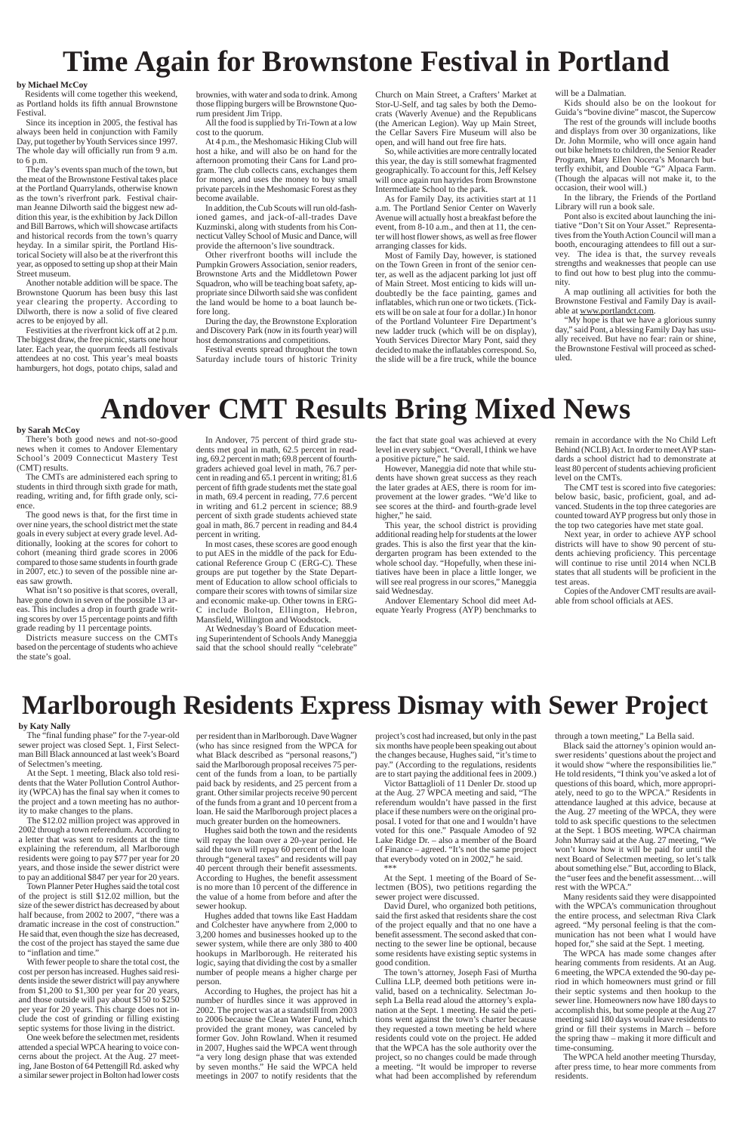# **Time Again for Brownstone Festival in Portland**

brownies, with water and soda to drink. Among those flipping burgers will be Brownstone Quorum president Jim Tripp.

All the food is supplied by Tri-Town at a low cost to the quorum.

At 4 p.m., the Meshomasic Hiking Club will host a hike, and will also be on hand for the afternoon promoting their Cans for Land program. The club collects cans, exchanges them for money, and uses the money to buy small private parcels in the Meshomasic Forest as they become available.

In addition, the Cub Scouts will run old-fashioned games, and jack-of-all-trades Dave Kuzminski, along with students from his Connecticut Valley School of Music and Dance, will provide the afternoon's live soundtrack.

Other riverfront booths will include the Pumpkin Growers Association, senior readers, Brownstone Arts and the Middletown Power Squadron, who will be teaching boat safety, appropriate since Dilworth said she was confident the land would be home to a boat launch before long.

During the day, the Brownstone Exploration and Discovery Park (now in its fourth year) will host demonstrations and competitions.

Festival events spread throughout the town Saturday include tours of historic Trinity

#### **by Michael McCoy**

Residents will come together this weekend, as Portland holds its fifth annual Brownstone Festival.

Since its inception in 2005, the festival has always been held in conjunction with Family Day, put together by Youth Services since 1997. The whole day will officially run from 9 a.m. to 6 p.m.

The day's events span much of the town, but the meat of the Brownstone Festival takes place at the Portland Quarrylands, otherwise known as the town's riverfront park. Festival chairman Jeanne Dilworth said the biggest new addition this year, is the exhibition by Jack Dillon and Bill Barrows, which will showcase artifacts and historical records from the town's quarry heyday. In a similar spirit, the Portland Historical Society will also be at the riverfront this year, as opposed to setting up shop at their Main Street museum.

Another notable addition will be space. The Brownstone Quorum has been busy this last year clearing the property. According to Dilworth, there is now a solid of five cleared acres to be enjoyed by all.

Festivities at the riverfront kick off at 2 p.m. The biggest draw, the free picnic, starts one hour later. Each year, the quorum feeds all festivals attendees at no cost. This year's meal boasts hamburgers, hot dogs, potato chips, salad and

"My hope is that we have a glorious sunny day," said Pont, a blessing Family Day has usually received. But have no fear: rain or shine, the Brownstone Festival will proceed as scheduled.

Church on Main Street, a Crafters' Market at Stor-U-Self, and tag sales by both the Democrats (Waverly Avenue) and the Republicans (the American Legion). Way up Main Street, the Cellar Savers Fire Museum will also be open, and will hand out free fire hats.

So, while activities are more centrally located this year, the day is still somewhat fragmented geographically. To account for this, Jeff Kelsey will once again run hayrides from Brownstone Intermediate School to the park.

As for Family Day, its activities start at 11 a.m. The Portland Senior Center on Waverly Avenue will actually host a breakfast before the event, from 8-10 a.m., and then at 11, the center will host flower shows, as well as free flower arranging classes for kids.

Most of Family Day, however, is stationed on the Town Green in front of the senior center, as well as the adjacent parking lot just off of Main Street. Most enticing to kids will undoubtedly be the face painting, games and inflatables, which run one or two tickets. (Tickets will be on sale at four for a dollar.) In honor of the Portland Volunteer Fire Department's new ladder truck (which will be on display), Youth Services Director Mary Pont, said they decided to make the inflatables correspond. So, the slide will be a fire truck, while the bounce

However, Maneggia did note that while students have shown great success as they reach the later grades at AES, there is room for improvement at the lower grades. "We'd like to see scores at the third- and fourth-grade level higher," he said.

will be a Dalmatian.

Kids should also be on the lookout for Guida's "bovine divine" mascot, the Supercow

The rest of the grounds will include booths and displays from over 30 organizations, like Dr. John Mormile, who will once again hand out bike helmets to children, the Senior Reader Program, Mary Ellen Nocera's Monarch butterfly exhibit, and Double "G" Alpaca Farm. (Though the alpacas will not make it, to the occasion, their wool will.)

In the library, the Friends of the Portland Library will run a book sale.

Pont also is excited about launching the initiative "Don't Sit on Your Asset." Representatives from the Youth Action Council will man a booth, encouraging attendees to fill out a survey. The idea is that, the survey reveals strengths and weaknesses that people can use to find out how to best plug into the community.

A map outlining all activities for both the Brownstone Festival and Family Day is available at www.portlandct.com.

# **Andover CMT Results Bring Mixed News**

#### **by Sarah McCoy**

There's both good news and not-so-good news when it comes to Andover Elementary School's 2009 Connecticut Mastery Test (CMT) results.

The CMTs are administered each spring to students in third through sixth grade for math, reading, writing and, for fifth grade only, science.

> much greater burden on the homeowners. Hughes said both the town and the resident

The good news is that, for the first time in over nine years, the school district met the state goals in every subject at every grade level. Additionally, looking at the scores for cohort to cohort (meaning third grade scores in 2006 compared to those same students in fourth grade in 2007, etc.) to seven of the possible nine areas saw growth.

What isn't so positive is that scores, overall, have gone down in seven of the possible 13 areas. This includes a drop in fourth grade writing scores by over 15 percentage points and fifth grade reading by 11 percentage points.

Districts measure success on the CMTs based on the percentage of students who achieve the state's goal.

In Andover, 75 percent of third grade students met goal in math, 62.5 percent in reading, 69.2 percent in math; 69.8 percent of fourthgraders achieved goal level in math, 76.7 percent in reading and 65.1 percent in writing; 81.6 percent of fifth grade students met the state goal in math, 69.4 percent in reading, 77.6 percent in writing and 61.2 percent in science; 88.9 percent of sixth grade students achieved state goal in math, 86.7 percent in reading and 84.4 percent in writing.

In most cases, these scores are good enough to put AES in the middle of the pack for Educational Reference Group C (ERG-C). These groups are put together by the State Department of Education to allow school officials to compare their scores with towns of similar size and economic make-up. Other towns in ERG-C include Bolton, Ellington, Hebron, Mansfield, Willington and Woodstock.

At Wednesday's Board of Education meeting Superintendent of Schools Andy Maneggia said that the school should really "celebrate"

the fact that state goal was achieved at every level in every subject. "Overall, I think we have a positive picture," he said.

This year, the school district is providing additional reading help for students at the lower grades. This is also the first year that the kindergarten program has been extended to the whole school day. "Hopefully, when these initiatives have been in place a little longer, we will see real progress in our scores," Maneggia said Wednesday.

Andover Elementary School did meet Adequate Yearly Progress (AYP) benchmarks to remain in accordance with the No Child Left Behind (NCLB) Act. In order to meet AYP standards a school district had to demonstrate at least 80 percent of students achieving proficient level on the CMTs.

The CMT test is scored into five categories: below basic, basic, proficient, goal, and advanced. Students in the top three categories are counted toward AYP progress but only those in the top two categories have met state goal.

Next year, in order to achieve AYP school districts will have to show 90 percent of students achieving proficiency. This percentage will continue to rise until 2014 when NCLB states that all students will be proficient in the test areas.

Copies of the Andover CMT results are available from school officials at AES.

# **Marlborough Residents Express Dismay with Sewer Project**

#### **by Katy Nally**

The "final funding phase" for the 7-year-old sewer project was closed Sept. 1, First Selectman Bill Black announced at last week's Board of Selectmen's meeting.

At the Sept. 1 meeting, Black also told residents that the Water Pollution Control Authority (WPCA) has the final say when it comes to the project and a town meeting has no authority to make changes to the plans.

The \$12.02 million project was approved in 2002 through a town referendum. According to a letter that was sent to residents at the time explaining the referendum, all Marlborough residents were going to pay \$77 per year for 20 years, and those inside the sewer district were to pay an additional \$847 per year for 20 years. Town Planner Peter Hughes said the total cost of the project is still \$12.02 million, but the size of the sewer district has decreased by about half because, from 2002 to 2007, "there was a dramatic increase in the cost of construction." He said that, even though the size has decreased, the cost of the project has stayed the same due to "inflation and time." With fewer people to share the total cost, the cost per person has increased. Hughes said residents inside the sewer district will pay anywhere from \$1,200 to \$1,300 per year for 20 years, and those outside will pay about \$150 to \$250 per year for 20 years. This charge does not include the cost of grinding or filling existing septic systems for those living in the district. One week before the selectmen met, residents attended a special WPCA hearing to voice concerns about the project. At the Aug. 27 meeting, Jane Boston of 64 Pettengill Rd. asked why a similar sewer project in Bolton had lower costs per resident than in Marlborough. Dave Wagner (who has since resigned from the WPCA for what Black described as "personal reasons,") said the Marlborough proposal receives 75 percent of the funds from a loan, to be partially paid back by residents, and 25 percent from a grant. Other similar projects receive 90 percent of the funds from a grant and 10 percent from a loan. He said the Marlborough project places a

will repay the loan over a 20-year period. He said the town will repay 60 percent of the loan through "general taxes" and residents will pay 40 percent through their benefit assessments. According to Hughes, the benefit assessment is no more than 10 percent of the difference in the value of a home from before and after the sewer hookup.

Hughes added that towns like East Haddam and Colchester have anywhere from 2,000 to 3,200 homes and businesses hooked up to the sewer system, while there are only 380 to 400 hookups in Marlborough. He reiterated his logic, saying that dividing the cost by a smaller number of people means a higher charge per person.

According to Hughes, the project has hit a number of hurdles since it was approved in 2002. The project was at a standstill from 2003 to 2006 because the Clean Water Fund, which provided the grant money, was canceled by former Gov. John Rowland. When it resumed in 2007, Hughes said the WPCA went through "a very long design phase that was extended by seven months." He said the WPCA held meetings in 2007 to notify residents that the

project's cost had increased, but only in the past six months have people been speaking out about the changes because, Hughes said, "it's time to pay." (According to the regulations, residents are to start paying the additional fees in 2009.)

Victor Battaglioli of 11 Denler Dr. stood up at the Aug. 27 WPCA meeting and said, "The referendum wouldn't have passed in the first place if these numbers were on the original proposal. I voted for that one and I wouldn't have voted for this one." Pasquale Amodeo of 92 Lake Ridge Dr. – also a member of the Board of Finance – agreed. "It's not the same project that everybody voted on in 2002," he said. \*\*\*

At the Sept. 1 meeting of the Board of Selectmen (BOS), two petitions regarding the sewer project were discussed.

David Durel, who organized both petitions, said the first asked that residents share the cost of the project equally and that no one have a benefit assessment. The second asked that connecting to the sewer line be optional, because some residents have existing septic systems in good condition.

The town's attorney, Joseph Fasi of Murtha Cullina LLP, deemed both petitions were invalid, based on a technicality. Selectman Joseph La Bella read aloud the attorney's explanation at the Sept. 1 meeting. He said the petitions went against the town's charter because they requested a town meeting be held where residents could vote on the project. He added that the WPCA has the sole authority over the project, so no changes could be made through a meeting. "It would be improper to reverse what had been accomplished by referendum through a town meeting," La Bella said.

Black said the attorney's opinion would answer residents' questions about the project and it would show "where the responsibilities lie." He told residents, "I think you've asked a lot of questions of this board, which, more appropriately, need to go to the WPCA." Residents in attendance laughed at this advice, because at the Aug. 27 meeting of the WPCA, they were told to ask specific questions to the selectmen at the Sept. 1 BOS meeting. WPCA chairman John Murray said at the Aug. 27 meeting, "We won't know how it will be paid for until the next Board of Selectmen meeting, so let's talk about something else." But, according to Black, the "user fees and the benefit assessment…will rest with the WPCA." Many residents said they were disappointed with the WPCA's communication throughout the entire process, and selectman Riva Clark agreed. "My personal feeling is that the communication has not been what I would have hoped for," she said at the Sept. 1 meeting. The WPCA has made some changes after hearing comments from residents. At an Aug. 6 meeting, the WPCA extended the 90-day period in which homeowners must grind or fill their septic systems and then hookup to the sewer line. Homeowners now have 180 days to accomplish this, but some people at the Aug 27 meeting said 180 days would leave residents to grind or fill their systems in March – before the spring thaw – making it more difficult and time-consuming.

The WPCA held another meeting Thursday, after press time, to hear more comments from residents.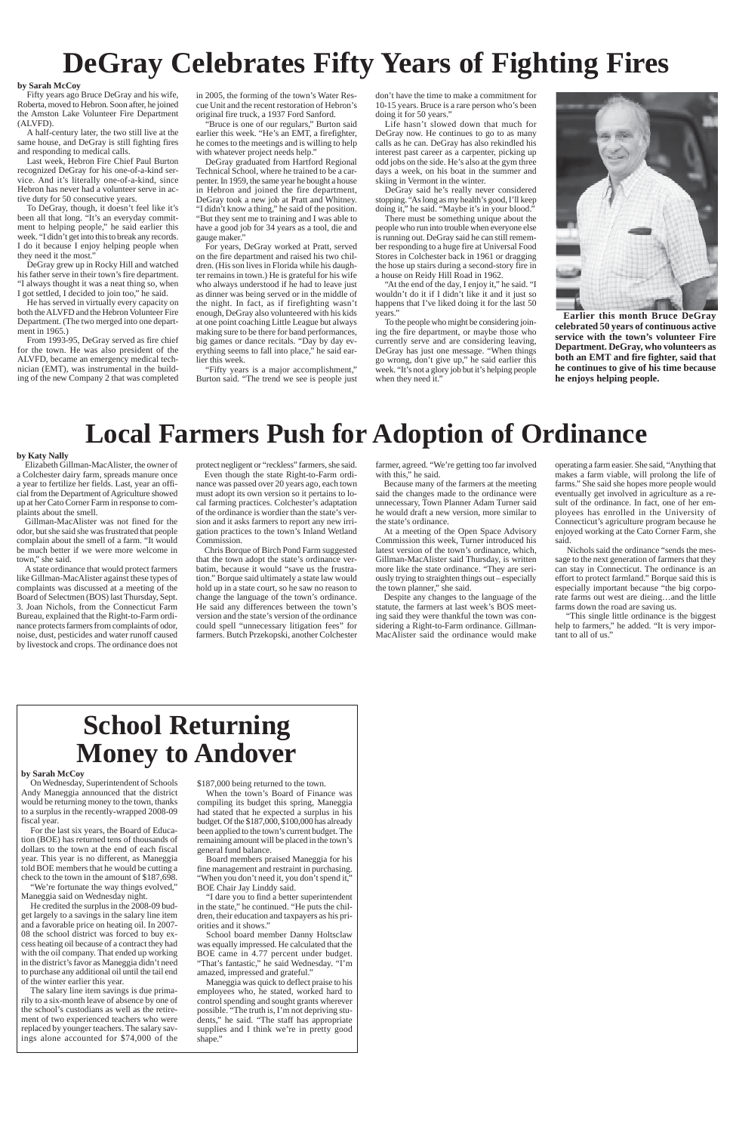# **DeGray Celebrates Fifty Years of Fighting Fires**

#### **by Sarah McCoy**

Fifty years ago Bruce DeGray and his wife, Roberta, moved to Hebron. Soon after, he joined the Amston Lake Volunteer Fire Department (ALVFD).

A half-century later, the two still live at the same house, and DeGray is still fighting fires and responding to medical calls.

Last week, Hebron Fire Chief Paul Burton recognized DeGray for his one-of-a-kind service. And it's literally one-of-a-kind, since Hebron has never had a volunteer serve in active duty for 50 consecutive years.

To DeGray, though, it doesn't feel like it's been all that long. "It's an everyday commitment to helping people," he said earlier this week. "I didn't get into this to break any records. I do it because I enjoy helping people when they need it the most."

DeGray grew up in Rocky Hill and watched his father serve in their town's fire department. "I always thought it was a neat thing so, when I got settled, I decided to join too," he said.

He has served in virtually every capacity on both the ALVFD and the Hebron Volunteer Fire Department. (The two merged into one department in 1965.)

From 1993-95, DeGray served as fire chief for the town. He was also president of the ALVFD, became an emergency medical technician (EMT), was instrumental in the building of the new Company 2 that was completed

in 2005, the forming of the town's Water Rescue Unit and the recent restoration of Hebron's original fire truck, a 1937 Ford Sanford.

"Bruce is one of our regulars," Burton said earlier this week. "He's an EMT, a firefighter, he comes to the meetings and is willing to help with whatever project needs help."

DeGray graduated from Hartford Regional Technical School, where he trained to be a carpenter. In 1959, the same year he bought a house in Hebron and joined the fire department, DeGray took a new job at Pratt and Whitney. "I didn't know a thing," he said of the position. "But they sent me to training and I was able to have a good job for 34 years as a tool, die and gauge maker."

For years, DeGray worked at Pratt, served on the fire department and raised his two children. (His son lives in Florida while his daughter remains in town.) He is grateful for his wife who always understood if he had to leave just as dinner was being served or in the middle of the night. In fact, as if firefighting wasn't enough, DeGray also volunteered with his kids at one point coaching Little League but always making sure to be there for band performances, big games or dance recitals. "Day by day everything seems to fall into place," he said earlier this week.

He credited the surplus in the 2008-09 budget largely to a savings in the salary line item and a favorable price on heating oil. In 2007- 08 the school district was forced to buy excess heating oil because of a contract they had with the oil company. That ended up working in the district's favor as Maneggia didn't need to purchase any additional oil until the tail end of the winter earlier this year.

"Fifty years is a major accomplishment," Burton said. "The trend we see is people just

don't have the time to make a commitment for 10-15 years. Bruce is a rare person who's been doing it for 50 years."

\$187,000 being returned to the town. When the town's Board of Finance was compiling its budget this spring, Maneggia had stated that he expected a surplus in his budget. Of the \$187,000, \$100,000 has already en applied to the town's current budget. The

Life hasn't slowed down that much for DeGray now. He continues to go to as many calls as he can. DeGray has also rekindled his interest past career as a carpenter, picking up odd jobs on the side. He's also at the gym three days a week, on his boat in the summer and skiing in Vermont in the winter.

DeGray said he's really never considered stopping. "As long as my health's good, I'll keep doing it," he said. "Maybe it's in your blood."

There must be something unique about the people who run into trouble when everyone else is running out. DeGray said he can still remember responding to a huge fire at Universal Food Stores in Colchester back in 1961 or dragging the hose up stairs during a second-story fire in a house on Reidy Hill Road in 1962.

"At the end of the day, I enjoy it," he said. "I wouldn't do it if I didn't like it and it just so happens that I've liked doing it for the last 50 years."

To the people who might be considering joining the fire department, or maybe those who currently serve and are considering leaving, DeGray has just one message. "When things go wrong, don't give up," he said earlier this week. "It's not a glory job but it's helping people when they need it."



**Earlier this month Bruce DeGray celebrated 50 years of continuous active service with the town's volunteer Fire Department. DeGray, who volunteers as both an EMT and fire fighter, said that he continues to give of his time because he enjoys helping people.**

farmer, agreed. "We're getting too far involved with this," he said.

## **School Returning Money to Andover**

#### **by Sarah McCoy**

On Wednesday, Superintendent of Schools Andy Maneggia announced that the district would be returning money to the town, thanks to a surplus in the recently-wrapped 2008-09 fiscal year.

For the last six years, the Board of Educa-

tion (BOE) has returned tens of thousands of dollars to the town at the end of each fiscal year. This year is no different, as Maneggia told BOE members that he would be cutting a check to the town in the amount of \$187,698.

"We're fortunate the way things evolved," Maneggia said on Wednesday night.

The salary line item savings is due primarily to a six-month leave of absence by one of the school's custodians as well as the retirement of two experienced teachers who were replaced by younger teachers. The salary savings alone accounted for \$74,000 of the remaining amount will be placed in the town's general fund balance.

Board members praised Maneggia for his fine management and restraint in purchasing. "When you don't need it, you don't spend it," BOE Chair Jay Linddy said.

"I dare you to find a better superintendent in the state," he continued. "He puts the children, their education and taxpayers as his priorities and it shows."

School board member Danny Holtsclaw was equally impressed. He calculated that the BOE came in 4.77 percent under budget. "That's fantastic," he said Wednesday. "I'm amazed, impressed and grateful."

Maneggia was quick to deflect praise to his employees who, he stated, worked hard to control spending and sought grants wherever possible. "The truth is, I'm not depriving students," he said. "The staff has appropriate supplies and I think we're in pretty good shape."

## **Local Farmers Push for Adoption of Ordinance**

#### **by Katy Nally**

Elizabeth Gillman-MacAlister, the owner of a Colchester dairy farm, spreads manure once a year to fertilize her fields. Last, year an official from the Department of Agriculture showed up at her Cato Corner Farm in response to complaints about the smell.

Gillman-MacAlister was not fined for the odor, but she said she was frustrated that people complain about the smell of a farm. "It would be much better if we were more welcome in town," she said.

A state ordinance that would protect farmers like Gillman-MacAlister against these types of complaints was discussed at a meeting of the Board of Selectmen (BOS) last Thursday, Sept. 3. Joan Nichols, from the Connecticut Farm Bureau, explained that the Right-to-Farm ordinance protects farmers from complaints of odor, noise, dust, pesticides and water runoff caused by livestock and crops. The ordinance does not protect negligent or "reckless" farmers, she said.

Even though the state Right-to-Farm ordinance was passed over 20 years ago, each town must adopt its own version so it pertains to local farming practices. Colchester's adaptation of the ordinance is wordier than the state's version and it asks farmers to report any new irrigation practices to the town's Inland Wetland Commission.

Chris Borque of Birch Pond Farm suggested that the town adopt the state's ordinance verbatim, because it would "save us the frustration." Borque said ultimately a state law would hold up in a state court, so he saw no reason to change the language of the town's ordinance. He said any differences between the town's version and the state's version of the ordinance could spell "unnecessary litigation fees" for farmers. Butch Przekopski, another Colchester

Because many of the farmers at the meeting said the changes made to the ordinance were unnecessary, Town Planner Adam Turner said he would draft a new version, more similar to the state's ordinance.

At a meeting of the Open Space Advisory Commission this week, Turner introduced his latest version of the town's ordinance, which, Gillman-MacAlister said Thursday, is written more like the state ordinance. "They are seriously trying to straighten things out – especially the town planner," she said.

Despite any changes to the language of the statute, the farmers at last week's BOS meeting said they were thankful the town was considering a Right-to-Farm ordinance. Gillman-MacAlister said the ordinance would make operating a farm easier. She said, "Anything that makes a farm viable, will prolong the life of farms." She said she hopes more people would eventually get involved in agriculture as a result of the ordinance. In fact, one of her employees has enrolled in the University of Connecticut's agriculture program because he enjoyed working at the Cato Corner Farm, she said.

 Nichols said the ordinance "sends the message to the next generation of farmers that they can stay in Connecticut. The ordinance is an effort to protect farmland." Borque said this is especially important because "the big corporate farms out west are dieing…and the little farms down the road are saving us.

 "This single little ordinance is the biggest help to farmers," he added. "It is very important to all of us."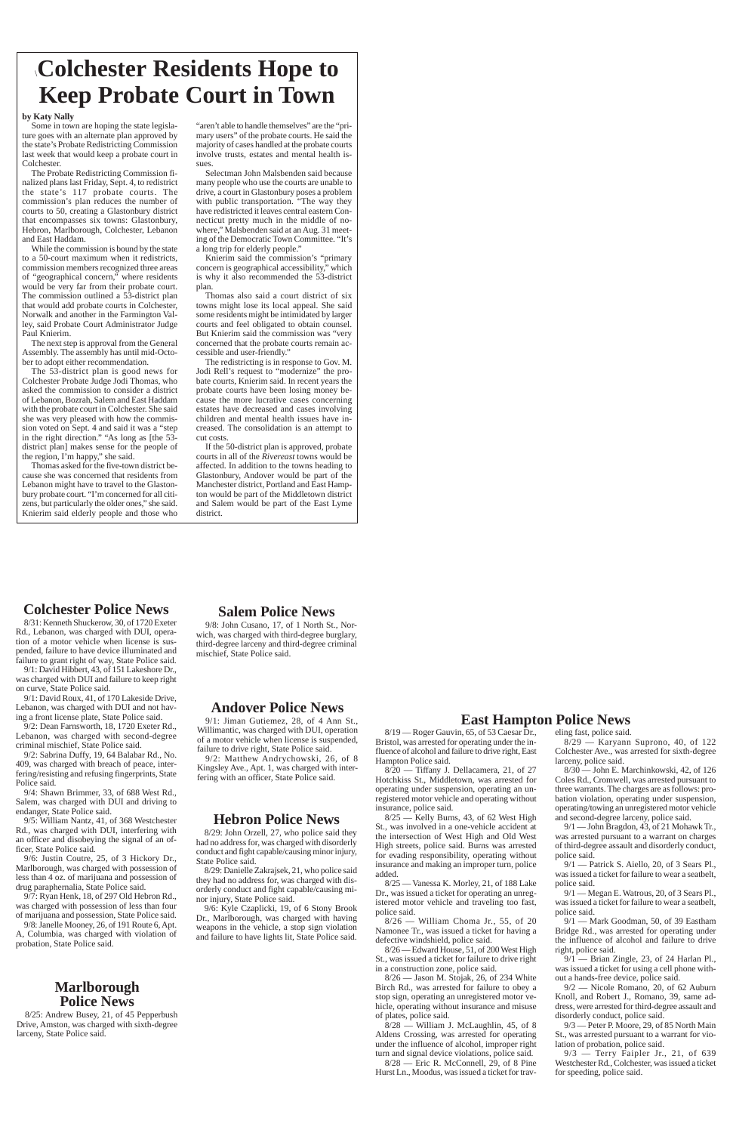### **Salem Police News**

9/8: John Cusano, 17, of 1 North St., Norwich, was charged with third-degree burglary, third-degree larceny and third-degree criminal mischief, State Police said.

### **Colchester Police News**

8/31: Kenneth Shuckerow, 30, of 1720 Exeter Rd., Lebanon, was charged with DUI, operation of a motor vehicle when license is suspended, failure to have device illuminated and failure to grant right of way, State Police said.

9/1: David Hibbert, 43, of 151 Lakeshore Dr., was charged with DUI and failure to keep right on curve, State Police said.

9/1: David Roux, 41, of 170 Lakeside Drive, Lebanon, was charged with DUI and not having a front license plate, State Police said.

9/2: Dean Farnsworth, 18, 1720 Exeter Rd., Lebanon, was charged with second-degree criminal mischief, State Police said.

9/2: Sabrina Duffy, 19, 64 Balabar Rd., No. 409, was charged with breach of peace, interfering/resisting and refusing fingerprints, State Police said.

9/4: Shawn Brimmer, 33, of 688 West Rd., Salem, was charged with DUI and driving to endanger, State Police said.

9/5: William Nantz, 41, of 368 Westchester Rd., was charged with DUI, interfering with an officer and disobeying the signal of an officer, State Police said. 9/6: Justin Coutre, 25, of 3 Hickory Dr., Marlborough, was charged with possession of less than 4 oz. of marijuana and possession of drug paraphernalia, State Police said. 9/7: Ryan Henk, 18, of 297 Old Hebron Rd., was charged with possession of less than four of marijuana and possession, State Police said. 9/8: Janelle Mooney, 26, of 191 Route 6, Apt. A, Columbia, was charged with violation of probation, State Police said.

### \**Colchester Residents Hope to Keep Probate Court in Town**

"aren't able to handle themselves" are the "primary users" of the probate courts. He said the majority of cases handled at the probate courts involve trusts, estates and mental health issues.

Selectman John Malsbenden said because many people who use the courts are unable to drive, a court in Glastonbury poses a problem with public transportation. "The way they have redistricted it leaves central eastern Connecticut pretty much in the middle of nowhere," Malsbenden said at an Aug. 31 meeting of the Democratic Town Committee. "It's a long trip for elderly people."

Knierim said the commission's "primary concern is geographical accessibility," which is why it also recommended the 53-district plan.

Thomas also said a court district of six towns might lose its local appeal. She said some residents might be intimidated by larger courts and feel obligated to obtain counsel. But Knierim said the commission was "very concerned that the probate courts remain accessible and user-friendly."

 $8/29$ : John Orzell, 27, who police said they had no address for, was charged with disorderly conduct and fight capable/causing minor injury, State Police said.

The redistricting is in response to Gov. M. Jodi Rell's request to "modernize" the probate courts, Knierim said. In recent years the probate courts have been losing money because the more lucrative cases concerning estates have decreased and cases involving children and mental health issues have increased. The consolidation is an attempt to cut costs.

If the 50-district plan is approved, probate courts in all of the *Rivereast* towns would be affected. In addition to the towns heading to Glastonbury, Andover would be part of the Manchester district, Portland and East Hampton would be part of the Middletown district and Salem would be part of the East Lyme district.

> $8/25$  — Kelly Burns, 43, of 62 West High St., was involved in a one-vehicle accident at the intersection of West High and Old West High streets, police said. Burns was arrested for evading responsibility, operating without insurance and making an improper turn, police added.

#### **by Katy Nally**

Some in town are hoping the state legislature goes with an alternate plan approved by the state's Probate Redistricting Commission last week that would keep a probate court in Colchester.

The Probate Redistricting Commission finalized plans last Friday, Sept. 4, to redistrict the state's 117 probate courts. The commission's plan reduces the number of courts to 50, creating a Glastonbury district that encompasses six towns: Glastonbury, Hebron, Marlborough, Colchester, Lebanon and East Haddam.

> $8/29$  — Karyann Suprono, 40, of 122 Colchester Ave., was arrested for sixth-degree larceny, police said.

While the commission is bound by the state to a 50-court maximum when it redistricts, commission members recognized three areas of "geographical concern," where residents would be very far from their probate court. The commission outlined a 53-district plan that would add probate courts in Colchester, Norwalk and another in the Farmington Valley, said Probate Court Administrator Judge Paul Knierim.

The next step is approval from the General Assembly. The assembly has until mid-October to adopt either recommendation.

The 53-district plan is good news for Colchester Probate Judge Jodi Thomas, who asked the commission to consider a district of Lebanon, Bozrah, Salem and East Haddam with the probate court in Colchester. She said she was very pleased with how the commission voted on Sept. 4 and said it was a "step in the right direction." "As long as [the 53 district plan] makes sense for the people of the region, I'm happy," she said.

Thomas asked for the five-town district because she was concerned that residents from Lebanon might have to travel to the Glastonbury probate court. "I'm concerned for all citizens, but particularly the older ones," she said. Knierim said elderly people and those who

### **Marlborough Police News**

8/25: Andrew Busey, 21, of 45 Pepperbush Drive, Amston, was charged with sixth-degree larceny, State Police said.

### **Andover Police News**

9/1: Jiman Gutiemez, 28, of 4 Ann St., Willimantic, was charged with DUI, operation of a motor vehicle when license is suspended, failure to drive right, State Police said.

9/2: Matthew Andrychowski, 26, of 8 Kingsley Ave., Apt. 1, was charged with interfering with an officer, State Police said.

### **Hebron Police News**

8/29: Danielle Zakrajsek, 21, who police said they had no address for, was charged with disorderly conduct and fight capable/causing minor injury, State Police said.

9/6: Kyle Czaplicki, 19, of 6 Stony Brook Dr., Marlborough, was charged with having weapons in the vehicle, a stop sign violation and failure to have lights lit, State Police said.

### **East Hampton Police News**

8/19 — Roger Gauvin, 65, of 53 Caesar Dr., Bristol, was arrested for operating under the influence of alcohol and failure to drive right, East Hampton Police said.

8/20 — Tiffany J. Dellacamera, 21, of 27 Hotchkiss St., Middletown, was arrested for operating under suspension, operating an unregistered motor vehicle and operating without insurance, police said.

8/25 — Vanessa K. Morley, 21, of 188 Lake Dr., was issued a ticket for operating an unregistered motor vehicle and traveling too fast, police said.

8/26 — William Choma Jr., 55, of 20 Namonee Tr., was issued a ticket for having a defective windshield, police said.

8/26 — Edward House, 51, of 200 West High St., was issued a ticket for failure to drive right in a construction zone, police said.

8/26 — Jason M. Stojak, 26, of 234 White Birch Rd., was arrested for failure to obey a stop sign, operating an unregistered motor vehicle, operating without insurance and misuse of plates, police said.

8/28 — William J. McLaughlin, 45, of 8 Aldens Crossing, was arrested for operating under the influence of alcohol, improper right turn and signal device violations, police said.

8/28 — Eric R. McConnell, 29, of 8 Pine Hurst Ln., Moodus, was issued a ticket for traveling fast, police said.

8/30 — John E. Marchinkowski, 42, of 126 Coles Rd., Cromwell, was arrested pursuant to three warrants. The charges are as follows: probation violation, operating under suspension, operating/towing an unregistered motor vehicle and second-degree larceny, police said.

9/1 — John Bragdon, 43, of 21 Mohawk Tr.,

was arrested pursuant to a warrant on charges of third-degree assault and disorderly conduct, police said.

9/1 — Patrick S. Aiello, 20, of 3 Sears Pl., was issued a ticket for failure to wear a seatbelt, police said.

9/1 — Megan E. Watrous, 20, of 3 Sears Pl., was issued a ticket for failure to wear a seatbelt, police said.

9/1 — Mark Goodman, 50, of 39 Eastham Bridge Rd., was arrested for operating under the influence of alcohol and failure to drive right, police said.

9/1 — Brian Zingle, 23, of 24 Harlan Pl., was issued a ticket for using a cell phone without a hands-free device, police said.

9/2 — Nicole Romano, 20, of 62 Auburn Knoll, and Robert J., Romano, 39, same address, were arrested for third-degree assault and disorderly conduct, police said.

9/3 — Peter P. Moore, 29, of 85 North Main St., was arrested pursuant to a warrant for violation of probation, police said.

9/3 — Terry Faipler Jr., 21, of 639 Westchester Rd., Colchester, was issued a ticket for speeding, police said.